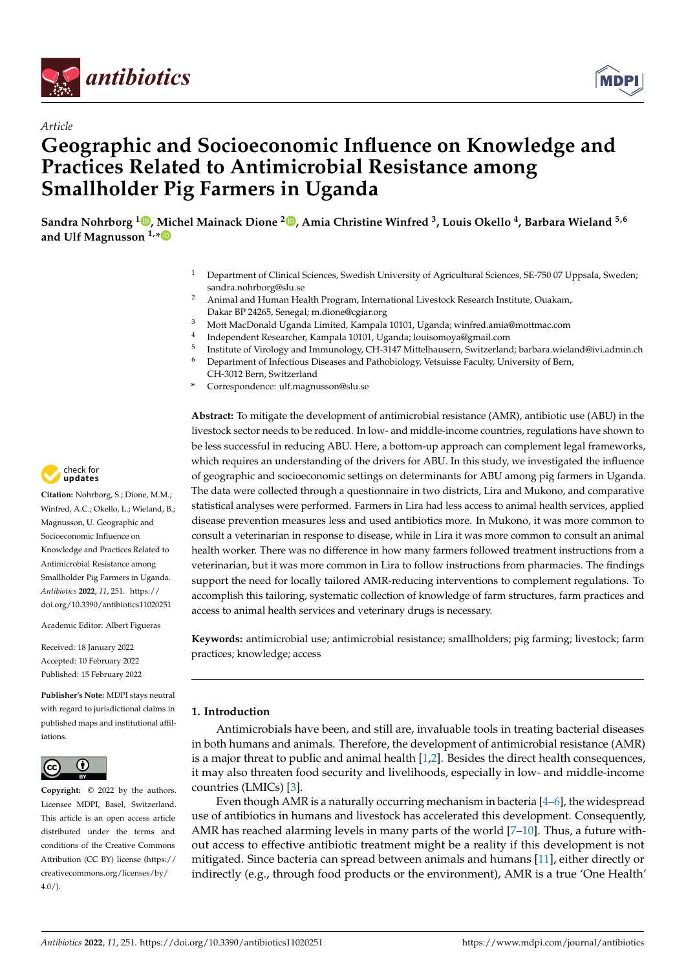



# *Article* **Geographic and Socioeconomic Influence on Knowledge and Practices Related to Antimicrobial Resistance among Smallholder Pig Farmers in Uganda**

**Sandra Nohrborg <sup>1</sup> [,](https://orcid.org/0000-0001-8796-7844) Michel Mainack Dione <sup>2</sup> [,](https://orcid.org/0000-0001-7812-5776) Amia Christine Winfred <sup>3</sup> , Louis Okello <sup>4</sup> , Barbara Wieland 5,6 and Ulf Magnusson 1,[\\*](https://orcid.org/0000-0002-7087-6820)**

- <sup>1</sup> Department of Clinical Sciences, Swedish University of Agricultural Sciences, SE-750 07 Uppsala, Sweden; sandra.nohrborg@slu.se
- <sup>2</sup> Animal and Human Health Program, International Livestock Research Institute, Ouakam, Dakar BP 24265, Senegal; m.dione@cgiar.org
- <sup>3</sup> Mott MacDonald Uganda Limited, Kampala 10101, Uganda; winfred.amia@mottmac.com
- 4 Independent Researcher, Kampala 10101, Uganda; louisomoya@gmail.com
- 5 Institute of Virology and Immunology, CH-3147 Mittelhausern, Switzerland; barbara.wieland@ivi.admin.ch
- <sup>6</sup> Department of Infectious Diseases and Pathobiology, Vetsuisse Faculty, University of Bern, CH-3012 Bern, Switzerland
- **\*** Correspondence: ulf.magnusson@slu.se

**Abstract:** To mitigate the development of antimicrobial resistance (AMR), antibiotic use (ABU) in the livestock sector needs to be reduced. In low- and middle-income countries, regulations have shown to be less successful in reducing ABU. Here, a bottom-up approach can complement legal frameworks, which requires an understanding of the drivers for ABU. In this study, we investigated the influence of geographic and socioeconomic settings on determinants for ABU among pig farmers in Uganda. The data were collected through a questionnaire in two districts, Lira and Mukono, and comparative statistical analyses were performed. Farmers in Lira had less access to animal health services, applied disease prevention measures less and used antibiotics more. In Mukono, it was more common to consult a veterinarian in response to disease, while in Lira it was more common to consult an animal health worker. There was no difference in how many farmers followed treatment instructions from a veterinarian, but it was more common in Lira to follow instructions from pharmacies. The findings support the need for locally tailored AMR-reducing interventions to complement regulations. To accomplish this tailoring, systematic collection of knowledge of farm structures, farm practices and access to animal health services and veterinary drugs is necessary.

**Keywords:** antimicrobial use; antimicrobial resistance; smallholders; pig farming; livestock; farm practices; knowledge; access

# **1. Introduction**

Antimicrobials have been, and still are, invaluable tools in treating bacterial diseases in both humans and animals. Therefore, the development of antimicrobial resistance (AMR) is a major threat to public and animal health [\[1](#page-12-0)[,2\]](#page-12-1). Besides the direct health consequences, it may also threaten food security and livelihoods, especially in low- and middle-income countries (LMICs) [\[3\]](#page-12-2).

Even though AMR is a naturally occurring mechanism in bacteria [\[4](#page-12-3)[–6\]](#page-12-4), the widespread use of antibiotics in humans and livestock has accelerated this development. Consequently, AMR has reached alarming levels in many parts of the world [\[7](#page-12-5)[–10\]](#page-12-6). Thus, a future without access to effective antibiotic treatment might be a reality if this development is not mitigated. Since bacteria can spread between animals and humans [\[11\]](#page-12-7), either directly or indirectly (e.g., through food products or the environment), AMR is a true 'One Health'



**Citation:** Nohrborg, S.; Dione, M.M.; Winfred, A.C.; Okello, L.; Wieland, B.; Magnusson, U. Geographic and Socioeconomic Influence on Knowledge and Practices Related to Antimicrobial Resistance among Smallholder Pig Farmers in Uganda. *Antibiotics* **2022**, *11*, 251. [https://](https://doi.org/10.3390/antibiotics11020251) [doi.org/10.3390/antibiotics11020251](https://doi.org/10.3390/antibiotics11020251)

Academic Editor: Albert Figueras

Received: 18 January 2022 Accepted: 10 February 2022 Published: 15 February 2022

**Publisher's Note:** MDPI stays neutral with regard to jurisdictional claims in published maps and institutional affiliations.



**Copyright:** © 2022 by the authors. Licensee MDPI, Basel, Switzerland. This article is an open access article distributed under the terms and conditions of the Creative Commons Attribution (CC BY) license [\(https://](https://creativecommons.org/licenses/by/4.0/) [creativecommons.org/licenses/by/](https://creativecommons.org/licenses/by/4.0/)  $4.0/$ ).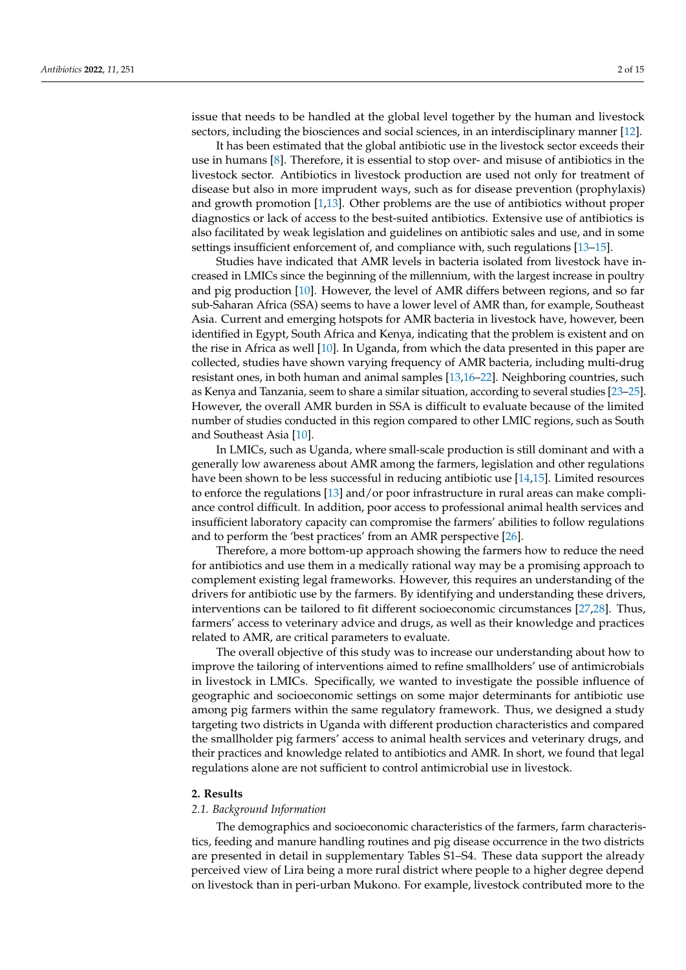issue that needs to be handled at the global level together by the human and livestock sectors, including the biosciences and social sciences, in an interdisciplinary manner [\[12\]](#page-12-8).

It has been estimated that the global antibiotic use in the livestock sector exceeds their use in humans [\[8\]](#page-12-9). Therefore, it is essential to stop over- and misuse of antibiotics in the livestock sector. Antibiotics in livestock production are used not only for treatment of disease but also in more imprudent ways, such as for disease prevention (prophylaxis) and growth promotion [\[1,](#page-12-0)[13\]](#page-12-10). Other problems are the use of antibiotics without proper diagnostics or lack of access to the best-suited antibiotics. Extensive use of antibiotics is also facilitated by weak legislation and guidelines on antibiotic sales and use, and in some settings insufficient enforcement of, and compliance with, such regulations [\[13](#page-12-10)[–15\]](#page-12-11).

Studies have indicated that AMR levels in bacteria isolated from livestock have increased in LMICs since the beginning of the millennium, with the largest increase in poultry and pig production [\[10\]](#page-12-6). However, the level of AMR differs between regions, and so far sub-Saharan Africa (SSA) seems to have a lower level of AMR than, for example, Southeast Asia. Current and emerging hotspots for AMR bacteria in livestock have, however, been identified in Egypt, South Africa and Kenya, indicating that the problem is existent and on the rise in Africa as well [\[10\]](#page-12-6). In Uganda, from which the data presented in this paper are collected, studies have shown varying frequency of AMR bacteria, including multi-drug resistant ones, in both human and animal samples [\[13](#page-12-10)[,16](#page-12-12)[–22\]](#page-13-0). Neighboring countries, such as Kenya and Tanzania, seem to share a similar situation, according to several studies [\[23–](#page-13-1)[25\]](#page-13-2). However, the overall AMR burden in SSA is difficult to evaluate because of the limited number of studies conducted in this region compared to other LMIC regions, such as South and Southeast Asia [\[10\]](#page-12-6).

In LMICs, such as Uganda, where small-scale production is still dominant and with a generally low awareness about AMR among the farmers, legislation and other regulations have been shown to be less successful in reducing antibiotic use [\[14,](#page-12-13)[15\]](#page-12-11). Limited resources to enforce the regulations [\[13\]](#page-12-10) and/or poor infrastructure in rural areas can make compliance control difficult. In addition, poor access to professional animal health services and insufficient laboratory capacity can compromise the farmers' abilities to follow regulations and to perform the 'best practices' from an AMR perspective [\[26\]](#page-13-3).

Therefore, a more bottom-up approach showing the farmers how to reduce the need for antibiotics and use them in a medically rational way may be a promising approach to complement existing legal frameworks. However, this requires an understanding of the drivers for antibiotic use by the farmers. By identifying and understanding these drivers, interventions can be tailored to fit different socioeconomic circumstances [\[27](#page-13-4)[,28\]](#page-13-5). Thus, farmers' access to veterinary advice and drugs, as well as their knowledge and practices related to AMR, are critical parameters to evaluate.

The overall objective of this study was to increase our understanding about how to improve the tailoring of interventions aimed to refine smallholders' use of antimicrobials in livestock in LMICs. Specifically, we wanted to investigate the possible influence of geographic and socioeconomic settings on some major determinants for antibiotic use among pig farmers within the same regulatory framework. Thus, we designed a study targeting two districts in Uganda with different production characteristics and compared the smallholder pig farmers' access to animal health services and veterinary drugs, and their practices and knowledge related to antibiotics and AMR. In short, we found that legal regulations alone are not sufficient to control antimicrobial use in livestock.

#### **2. Results**

#### *2.1. Background Information*

The demographics and socioeconomic characteristics of the farmers, farm characteristics, feeding and manure handling routines and pig disease occurrence in the two districts are presented in detail in supplementary Tables S1–S4. These data support the already perceived view of Lira being a more rural district where people to a higher degree depend on livestock than in peri-urban Mukono. For example, livestock contributed more to the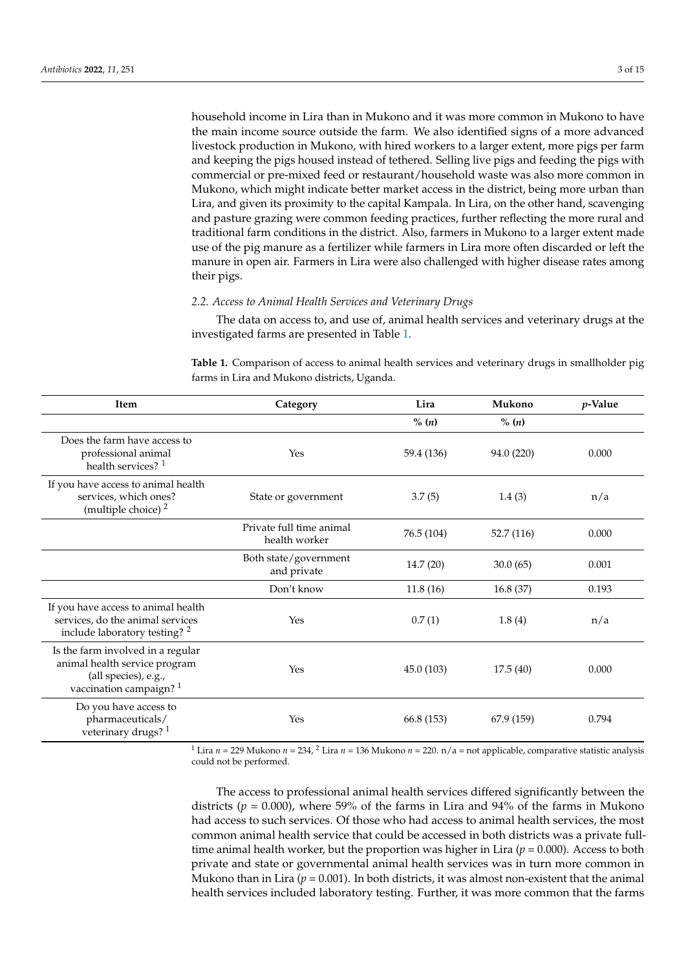household income in Lira than in Mukono and it was more common in Mukono to have the main income source outside the farm. We also identified signs of a more advanced livestock production in Mukono, with hired workers to a larger extent, more pigs per farm and keeping the pigs housed instead of tethered. Selling live pigs and feeding the pigs with commercial or pre-mixed feed or restaurant/household waste was also more common in Mukono, which might indicate better market access in the district, being more urban than Lira, and given its proximity to the capital Kampala. In Lira, on the other hand, scavenging and pasture grazing were common feeding practices, further reflecting the more rural and traditional farm conditions in the district. Also, farmers in Mukono to a larger extent made use of the pig manure as a fertilizer while farmers in Lira more often discarded or left the manure in open air. Farmers in Lira were also challenged with higher disease rates among their pigs.

#### *2.2. Access to Animal Health Services and Veterinary Drugs*

The data on access to, and use of, animal health services and veterinary drugs at the investigated farms are presented in Table [1.](#page-2-0)

<span id="page-2-0"></span>**Table 1.** Comparison of access to animal health services and veterinary drugs in smallholder pig farms in Lira and Mukono districts, Uganda.

| Item                                                                                                                             | Category                                  | Lira       | Mukono     | <i>p</i> -Value |
|----------------------------------------------------------------------------------------------------------------------------------|-------------------------------------------|------------|------------|-----------------|
|                                                                                                                                  |                                           | $\%$ (n)   | % (n)      |                 |
| Does the farm have access to<br>professional animal<br>health services? <sup>1</sup>                                             | Yes                                       | 59.4 (136) | 94.0 (220) | 0.000           |
| If you have access to animal health<br>services, which ones?<br>(multiple choice) <sup>2</sup>                                   | State or government                       | 3.7(5)     | 1.4(3)     | n/a             |
|                                                                                                                                  | Private full time animal<br>health worker | 76.5 (104) | 52.7 (116) | 0.000           |
|                                                                                                                                  | Both state/government<br>and private      | 14.7(20)   | 30.0(65)   | 0.001           |
|                                                                                                                                  | Don't know                                | 11.8(16)   | 16.8(37)   | 0.193           |
| If you have access to animal health<br>services, do the animal services<br>include laboratory testing? <sup>2</sup>              | Yes                                       |            | 1.8(4)     | n/a             |
| Is the farm involved in a regular<br>animal health service program<br>(all species), e.g.,<br>vaccination campaign? <sup>1</sup> | Yes                                       | 45.0 (103) | 17.5(40)   | 0.000           |
| Do you have access to<br>pharmaceuticals/<br>veterinary drugs? <sup>1</sup>                                                      | Yes                                       | 66.8 (153) | 67.9 (159) | 0.794           |

<sup>1</sup> Lira *n* = 229 Mukono *n* = 234, <sup>2</sup> Lira *n* = 136 Mukono *n* = 220. n/a = not applicable, comparative statistic analysis could not be performed.

The access to professional animal health services differed significantly between the districts ( $p = 0.000$ ), where 59% of the farms in Lira and 94% of the farms in Mukono had access to such services. Of those who had access to animal health services, the most common animal health service that could be accessed in both districts was a private fulltime animal health worker, but the proportion was higher in Lira ( $p = 0.000$ ). Access to both private and state or governmental animal health services was in turn more common in Mukono than in Lira  $(p = 0.001)$ . In both districts, it was almost non-existent that the animal health services included laboratory testing. Further, it was more common that the farms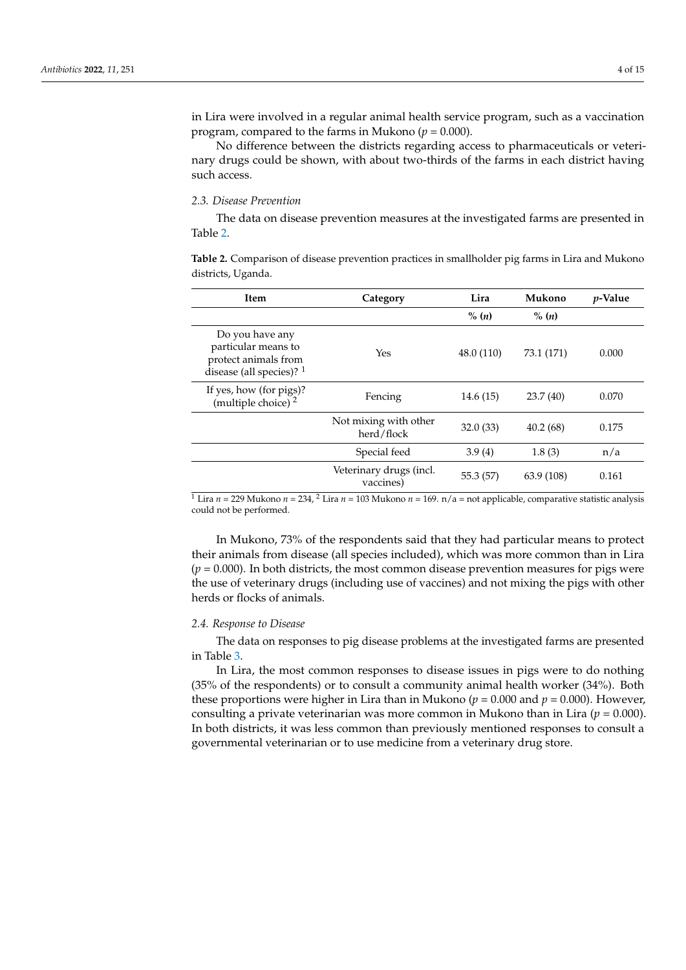in Lira were involved in a regular animal health service program, such as a vaccination program, compared to the farms in Mukono ( $p = 0.000$ ).

No difference between the districts regarding access to pharmaceuticals or veterinary drugs could be shown, with about two-thirds of the farms in each district having such access.

#### *2.3. Disease Prevention*

The data on disease prevention measures at the investigated farms are presented in Table [2.](#page-3-0)

<span id="page-3-0"></span>**Table 2.** Comparison of disease prevention practices in smallholder pig farms in Lira and Mukono districts, Uganda.

| Item                                                                                                  | Category                             | Lira<br>Mukono |            | <i>p</i> -Value |
|-------------------------------------------------------------------------------------------------------|--------------------------------------|----------------|------------|-----------------|
|                                                                                                       |                                      | $\%$ $(n)$     | $\% (n)$   |                 |
| Do you have any<br>particular means to<br>protect animals from<br>disease (all species)? <sup>1</sup> | Yes                                  | 48.0 (110)     | 73.1 (171) | 0.000           |
| If yes, how (for pigs)?<br>(multiple choice) $2^{2}$                                                  | Fencing                              | 14.6(15)       | 23.7(40)   | 0.070           |
|                                                                                                       | Not mixing with other<br>herd/flock  | 32.0(33)       | 40.2(68)   | 0.175           |
|                                                                                                       | Special feed                         | 3.9(4)         | 1.8(3)     | n/a             |
|                                                                                                       | Veterinary drugs (incl.<br>vaccines) | 55.3 (57)      | 63.9 (108) | 0.161           |

<sup>1</sup> Lira  $n = 229$  Mukono  $n = 234$ , <sup>2</sup> Lira  $n = 103$  Mukono  $n = 169$ .  $n/a =$  not applicable, comparative statistic analysis could not be performed.

In Mukono, 73% of the respondents said that they had particular means to protect their animals from disease (all species included), which was more common than in Lira  $(p = 0.000)$ . In both districts, the most common disease prevention measures for pigs were the use of veterinary drugs (including use of vaccines) and not mixing the pigs with other herds or flocks of animals.

# *2.4. Response to Disease*

The data on responses to pig disease problems at the investigated farms are presented in Table [3.](#page-4-0)

In Lira, the most common responses to disease issues in pigs were to do nothing (35% of the respondents) or to consult a community animal health worker (34%). Both these proportions were higher in Lira than in Mukono ( $p = 0.000$  and  $p = 0.000$ ). However, consulting a private veterinarian was more common in Mukono than in Lira ( $p = 0.000$ ). In both districts, it was less common than previously mentioned responses to consult a governmental veterinarian or to use medicine from a veterinary drug store.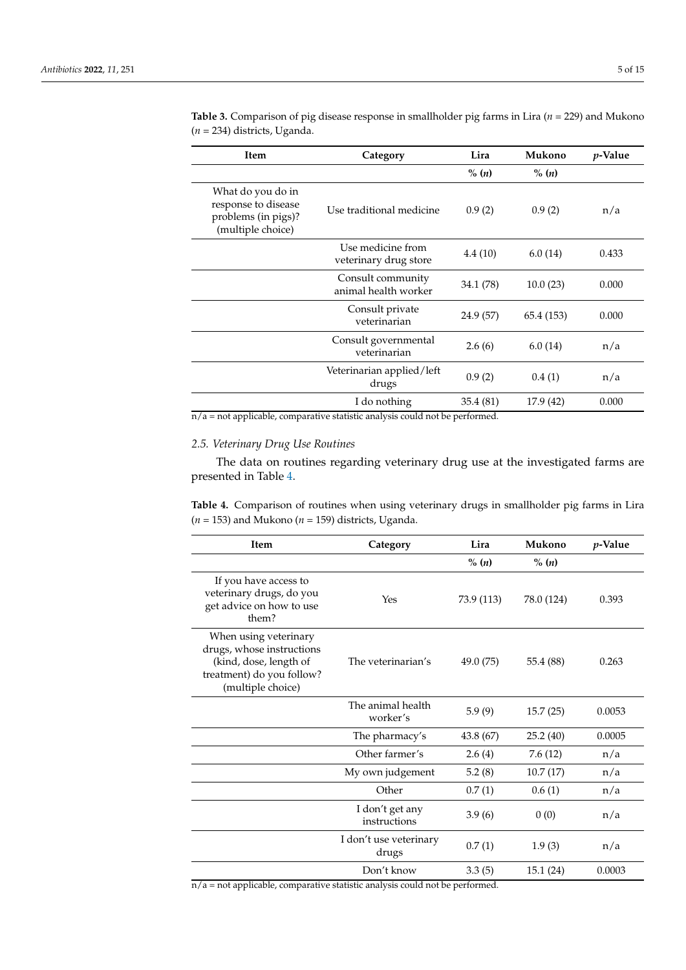| <b>Item</b>                                                                          | Category                                   | Lira              | Mukono     | <i>p</i> -Value |  |
|--------------------------------------------------------------------------------------|--------------------------------------------|-------------------|------------|-----------------|--|
|                                                                                      |                                            | $\%$ ( <i>n</i> ) | $\% (n)$   |                 |  |
| What do you do in<br>response to disease<br>problems (in pigs)?<br>(multiple choice) | Use traditional medicine                   | 0.9(2)            | 0.9(2)     | n/a             |  |
|                                                                                      | Use medicine from<br>veterinary drug store | 4.4(10)           | 6.0(14)    | 0.433           |  |
|                                                                                      | Consult community<br>animal health worker  | 34.1 (78)         | 10.0(23)   | 0.000           |  |
|                                                                                      | Consult private<br>veterinarian            | 24.9 (57)         | 65.4 (153) | 0.000           |  |
|                                                                                      | Consult governmental<br>veterinarian       | 2.6(6)            | 6.0(14)    | n/a             |  |
|                                                                                      | Veterinarian applied/left<br>drugs         |                   | 0.4(1)     | n/a             |  |
| I do nothing                                                                         |                                            | 35.4(81)          | 17.9 (42)  | 0.000           |  |

<span id="page-4-0"></span>**Table 3.** Comparison of pig disease response in smallholder pig farms in Lira (*n* = 229) and Mukono (*n* = 234) districts, Uganda.

 $\overline{n/a}$  = not applicable, comparative statistic analysis could not be performed.

# *2.5. Veterinary Drug Use Routines*

The data on routines regarding veterinary drug use at the investigated farms are presented in Table [4.](#page-4-1)

<span id="page-4-1"></span>**Table 4.** Comparison of routines when using veterinary drugs in smallholder pig farms in Lira  $(n = 153)$  and Mukono  $(n = 159)$  districts, Uganda.

| <b>Item</b>                                                                                                                    | Category                        | Lira       | Mukono     | <i>p</i> -Value |
|--------------------------------------------------------------------------------------------------------------------------------|---------------------------------|------------|------------|-----------------|
|                                                                                                                                |                                 | $\%$ (n)   | $\%$ (n)   |                 |
| If you have access to<br>veterinary drugs, do you<br>get advice on how to use<br>them?                                         | Yes                             | 73.9 (113) | 78.0 (124) | 0.393           |
| When using veterinary<br>drugs, whose instructions<br>(kind, dose, length of<br>treatment) do you follow?<br>(multiple choice) | The veterinarian's              | 49.0 (75)  | 55.4 (88)  | 0.263           |
|                                                                                                                                | The animal health<br>worker's   | 5.9(9)     | 15.7(25)   | 0.0053          |
|                                                                                                                                | The pharmacy's                  | 43.8 (67)  | 25.2(40)   | 0.0005          |
|                                                                                                                                | Other farmer's                  | 2.6(4)     | 7.6(12)    | n/a             |
|                                                                                                                                | My own judgement                | 5.2(8)     | 10.7(17)   | n/a             |
|                                                                                                                                | Other                           | 0.7(1)     | 0.6(1)     | n/a             |
|                                                                                                                                | I don't get any<br>instructions | 3.9(6)     | 0(0)       | n/a             |
|                                                                                                                                | I don't use veterinary<br>drugs | 0.7(1)     | 1.9(3)     | n/a             |
|                                                                                                                                | Don't know                      | 3.3(5)     | 15.1(24)   | 0.0003          |

 $\overline{n/a}$  = not applicable, comparative statistic analysis could not be performed.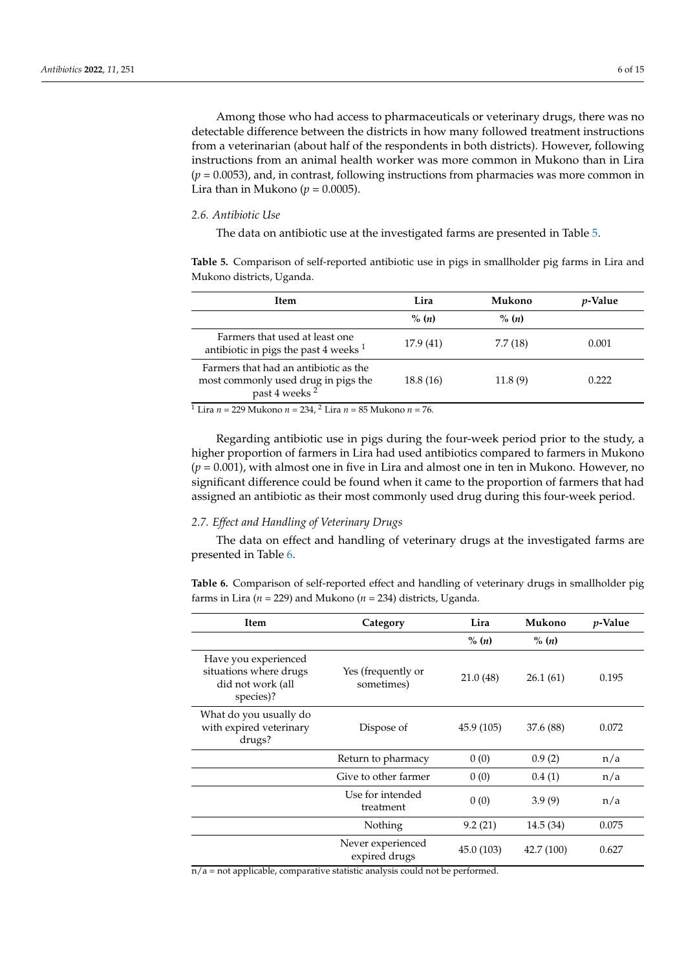Among those who had access to pharmaceuticals or veterinary drugs, there was no detectable difference between the districts in how many followed treatment instructions from a veterinarian (about half of the respondents in both districts). However, following instructions from an animal health worker was more common in Mukono than in Lira (*p* = 0.0053), and, in contrast, following instructions from pharmacies was more common in Lira than in Mukono ( $p = 0.0005$ ).

#### *2.6. Antibiotic Use*

The data on antibiotic use at the investigated farms are presented in Table [5.](#page-5-0)

<span id="page-5-0"></span>**Table 5.** Comparison of self-reported antibiotic use in pigs in smallholder pig farms in Lira and Mukono districts, Uganda.

| <b>Item</b>                                                                                               | Lira       | Mukono   | <i>p</i> -Value |
|-----------------------------------------------------------------------------------------------------------|------------|----------|-----------------|
|                                                                                                           | $\%$ $(n)$ | $\%$ (n) |                 |
| Farmers that used at least one<br>antibiotic in pigs the past 4 weeks $1$                                 | 17.9(41)   | 7.7(18)  | 0.001           |
| Farmers that had an antibiotic as the<br>most commonly used drug in pigs the<br>past 4 weeks <sup>2</sup> | 18.8(16)   | 11.8(9)  | 0.222           |

<sup>1</sup> Lira *n* = 229 Mukono *n* = 234, <sup>2</sup> Lira *n* = 85 Mukono *n* = 76.

Regarding antibiotic use in pigs during the four-week period prior to the study, a higher proportion of farmers in Lira had used antibiotics compared to farmers in Mukono (*p* = 0.001), with almost one in five in Lira and almost one in ten in Mukono. However, no significant difference could be found when it came to the proportion of farmers that had assigned an antibiotic as their most commonly used drug during this four-week period.

#### *2.7. Effect and Handling of Veterinary Drugs*

The data on effect and handling of veterinary drugs at the investigated farms are presented in Table [6.](#page-5-1)

<span id="page-5-1"></span>**Table 6.** Comparison of self-reported effect and handling of veterinary drugs in smallholder pig farms in Lira (*n* = 229) and Mukono (*n* = 234) districts, Uganda.

| Item                                                                             | Category                           | Lira       | Mukono            | <i>p</i> -Value |
|----------------------------------------------------------------------------------|------------------------------------|------------|-------------------|-----------------|
|                                                                                  |                                    | $\%$ $(n)$ | $\%$ ( <i>n</i> ) |                 |
| Have you experienced<br>situations where drugs<br>did not work (all<br>species)? | Yes (frequently or<br>sometimes)   | 21.0(48)   | 26.1(61)          | 0.195           |
| What do you usually do<br>with expired veterinary<br>drugs?                      | Dispose of                         | 45.9 (105) | 37.6 (88)         | 0.072           |
|                                                                                  | Return to pharmacy                 | 0(0)       | 0.9(2)            | n/a             |
|                                                                                  | Give to other farmer               | 0(0)       | 0.4(1)            | n/a             |
|                                                                                  | Use for intended<br>treatment      | 0(0)       | 3.9(9)            | n/a             |
|                                                                                  | Nothing                            | 9.2(21)    | 14.5(34)          | 0.075           |
|                                                                                  | Never experienced<br>expired drugs | 45.0 (103) | 42.7 (100)        | 0.627           |

 $\overline{n/a}$  = not applicable, comparative statistic analysis could not be performed.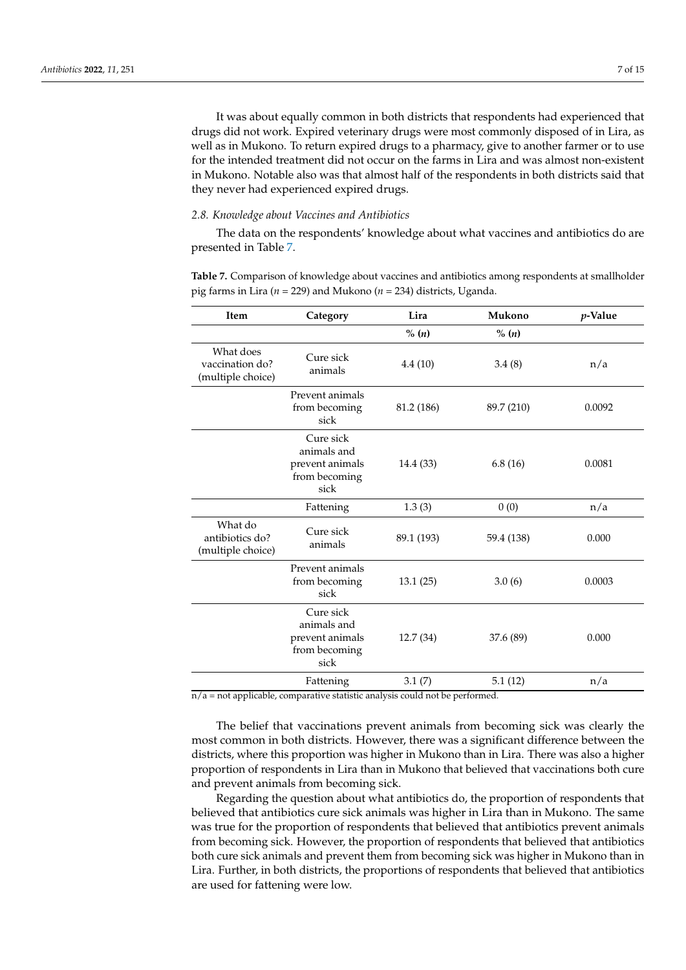It was about equally common in both districts that respondents had experienced that drugs did not work. Expired veterinary drugs were most commonly disposed of in Lira, as well as in Mukono. To return expired drugs to a pharmacy, give to another farmer or to use for the intended treatment did not occur on the farms in Lira and was almost non-existent in Mukono. Notable also was that almost half of the respondents in both districts said that they never had experienced expired drugs.

#### *2.8. Knowledge about Vaccines and Antibiotics*

The data on the respondents' knowledge about what vaccines and antibiotics do are presented in Table [7.](#page-6-0)

<span id="page-6-0"></span>**Table 7.** Comparison of knowledge about vaccines and antibiotics among respondents at smallholder pig farms in Lira (*n* = 229) and Mukono (*n* = 234) districts, Uganda.

| Item                                              | Category                                                                            | Lira       | Mukono     | p-Value |
|---------------------------------------------------|-------------------------------------------------------------------------------------|------------|------------|---------|
|                                                   |                                                                                     | % (n)      | % (n)      |         |
| What does<br>vaccination do?<br>(multiple choice) | Cure sick<br>animals                                                                | 4.4(10)    | 3.4(8)     | n/a     |
|                                                   | Prevent animals<br>from becoming<br>sick                                            | 81.2 (186) | 89.7 (210) | 0.0092  |
|                                                   | Cure sick<br>animals and<br>prevent animals<br>from becoming<br>sick                | 14.4 (33)  | 6.8(16)    | 0.0081  |
|                                                   | Fattening                                                                           | 1.3(3)     | 0(0)       | n/a     |
| What do<br>antibiotics do?<br>(multiple choice)   | Cure sick<br>animals                                                                | 89.1 (193) | 59.4 (138) | 0.000   |
|                                                   | Prevent animals<br>from becoming<br>sick                                            | 13.1(25)   | 3.0(6)     | 0.0003  |
|                                                   | Cure sick<br>animals and<br>prevent animals<br>from becoming<br>sick                | 12.7(34)   | 37.6 (89)  | 0.000   |
|                                                   | Fattening<br>pot applicable, comparativo statisticamelysis could not les noufoume d | 3.1(7)     | 5.1(12)    | n/a     |

n/a = not applicable, comparative statistic analysis could not be performed.

The belief that vaccinations prevent animals from becoming sick was clearly the most common in both districts. However, there was a significant difference between the districts, where this proportion was higher in Mukono than in Lira. There was also a higher proportion of respondents in Lira than in Mukono that believed that vaccinations both cure and prevent animals from becoming sick.

Regarding the question about what antibiotics do, the proportion of respondents that believed that antibiotics cure sick animals was higher in Lira than in Mukono. The same was true for the proportion of respondents that believed that antibiotics prevent animals from becoming sick. However, the proportion of respondents that believed that antibiotics both cure sick animals and prevent them from becoming sick was higher in Mukono than in Lira. Further, in both districts, the proportions of respondents that believed that antibiotics are used for fattening were low.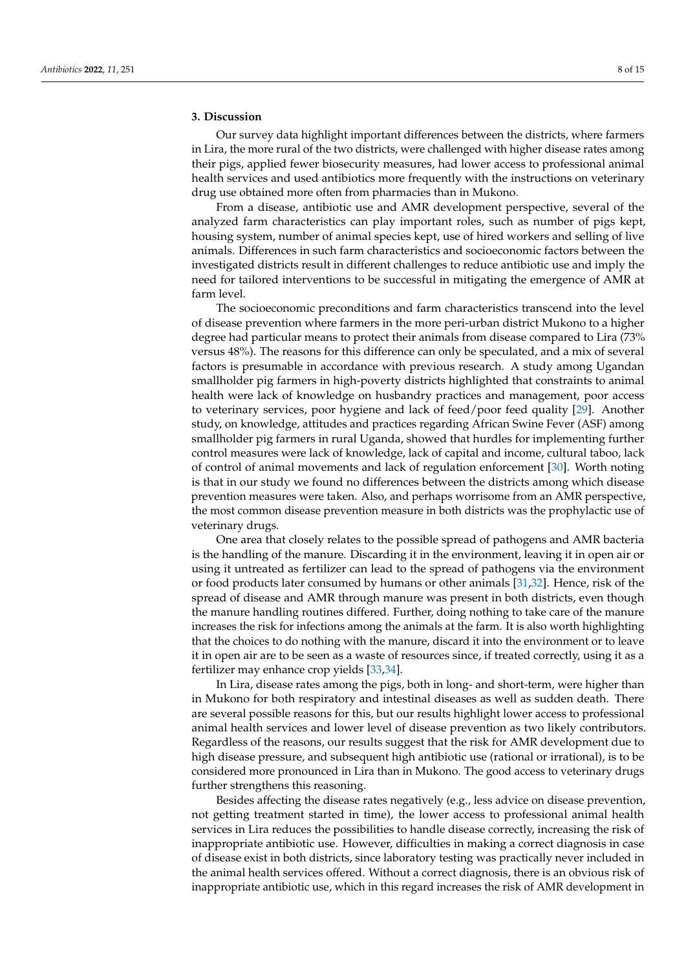#### **3. Discussion**

Our survey data highlight important differences between the districts, where farmers in Lira, the more rural of the two districts, were challenged with higher disease rates among their pigs, applied fewer biosecurity measures, had lower access to professional animal health services and used antibiotics more frequently with the instructions on veterinary drug use obtained more often from pharmacies than in Mukono.

From a disease, antibiotic use and AMR development perspective, several of the analyzed farm characteristics can play important roles, such as number of pigs kept, housing system, number of animal species kept, use of hired workers and selling of live animals. Differences in such farm characteristics and socioeconomic factors between the investigated districts result in different challenges to reduce antibiotic use and imply the need for tailored interventions to be successful in mitigating the emergence of AMR at farm level.

The socioeconomic preconditions and farm characteristics transcend into the level of disease prevention where farmers in the more peri-urban district Mukono to a higher degree had particular means to protect their animals from disease compared to Lira (73% versus 48%). The reasons for this difference can only be speculated, and a mix of several factors is presumable in accordance with previous research. A study among Ugandan smallholder pig farmers in high-poverty districts highlighted that constraints to animal health were lack of knowledge on husbandry practices and management, poor access to veterinary services, poor hygiene and lack of feed/poor feed quality [\[29\]](#page-13-6). Another study, on knowledge, attitudes and practices regarding African Swine Fever (ASF) among smallholder pig farmers in rural Uganda, showed that hurdles for implementing further control measures were lack of knowledge, lack of capital and income, cultural taboo, lack of control of animal movements and lack of regulation enforcement [\[30\]](#page-13-7). Worth noting is that in our study we found no differences between the districts among which disease prevention measures were taken. Also, and perhaps worrisome from an AMR perspective, the most common disease prevention measure in both districts was the prophylactic use of veterinary drugs.

One area that closely relates to the possible spread of pathogens and AMR bacteria is the handling of the manure. Discarding it in the environment, leaving it in open air or using it untreated as fertilizer can lead to the spread of pathogens via the environment or food products later consumed by humans or other animals [\[31,](#page-13-8)[32\]](#page-13-9). Hence, risk of the spread of disease and AMR through manure was present in both districts, even though the manure handling routines differed. Further, doing nothing to take care of the manure increases the risk for infections among the animals at the farm. It is also worth highlighting that the choices to do nothing with the manure, discard it into the environment or to leave it in open air are to be seen as a waste of resources since, if treated correctly, using it as a fertilizer may enhance crop yields [\[33](#page-13-10)[,34\]](#page-13-11).

In Lira, disease rates among the pigs, both in long- and short-term, were higher than in Mukono for both respiratory and intestinal diseases as well as sudden death. There are several possible reasons for this, but our results highlight lower access to professional animal health services and lower level of disease prevention as two likely contributors. Regardless of the reasons, our results suggest that the risk for AMR development due to high disease pressure, and subsequent high antibiotic use (rational or irrational), is to be considered more pronounced in Lira than in Mukono. The good access to veterinary drugs further strengthens this reasoning.

Besides affecting the disease rates negatively (e.g., less advice on disease prevention, not getting treatment started in time), the lower access to professional animal health services in Lira reduces the possibilities to handle disease correctly, increasing the risk of inappropriate antibiotic use. However, difficulties in making a correct diagnosis in case of disease exist in both districts, since laboratory testing was practically never included in the animal health services offered. Without a correct diagnosis, there is an obvious risk of inappropriate antibiotic use, which in this regard increases the risk of AMR development in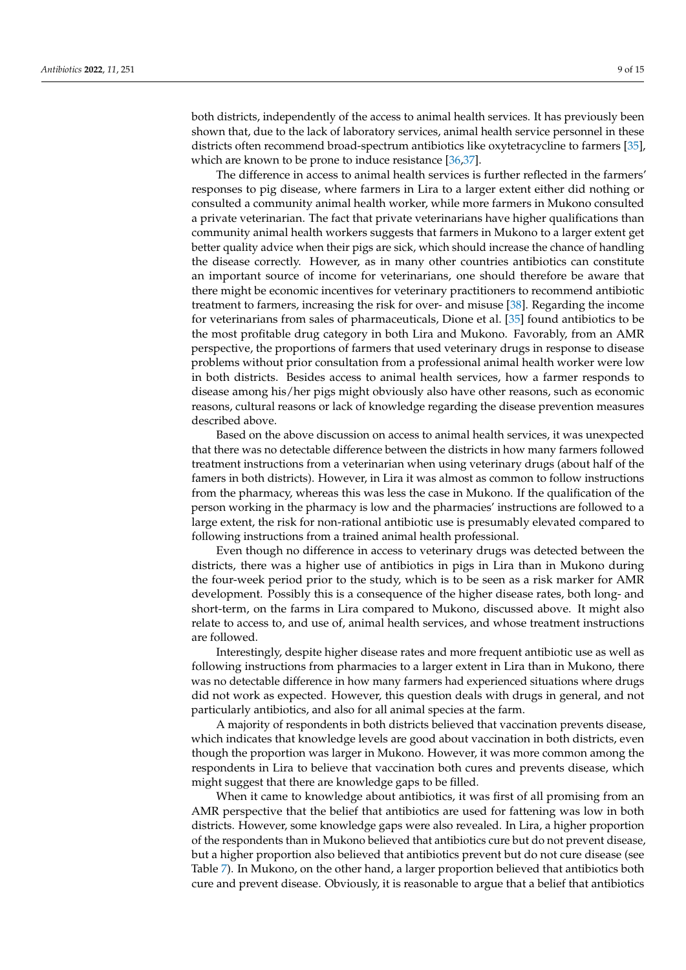both districts, independently of the access to animal health services. It has previously been shown that, due to the lack of laboratory services, animal health service personnel in these districts often recommend broad-spectrum antibiotics like oxytetracycline to farmers [\[35\]](#page-13-12), which are known to be prone to induce resistance [\[36](#page-13-13)[,37\]](#page-13-14).

The difference in access to animal health services is further reflected in the farmers' responses to pig disease, where farmers in Lira to a larger extent either did nothing or consulted a community animal health worker, while more farmers in Mukono consulted a private veterinarian. The fact that private veterinarians have higher qualifications than community animal health workers suggests that farmers in Mukono to a larger extent get better quality advice when their pigs are sick, which should increase the chance of handling the disease correctly. However, as in many other countries antibiotics can constitute an important source of income for veterinarians, one should therefore be aware that there might be economic incentives for veterinary practitioners to recommend antibiotic treatment to farmers, increasing the risk for over- and misuse [\[38\]](#page-13-15). Regarding the income for veterinarians from sales of pharmaceuticals, Dione et al. [\[35\]](#page-13-12) found antibiotics to be the most profitable drug category in both Lira and Mukono. Favorably, from an AMR perspective, the proportions of farmers that used veterinary drugs in response to disease problems without prior consultation from a professional animal health worker were low in both districts. Besides access to animal health services, how a farmer responds to disease among his/her pigs might obviously also have other reasons, such as economic reasons, cultural reasons or lack of knowledge regarding the disease prevention measures described above.

Based on the above discussion on access to animal health services, it was unexpected that there was no detectable difference between the districts in how many farmers followed treatment instructions from a veterinarian when using veterinary drugs (about half of the famers in both districts). However, in Lira it was almost as common to follow instructions from the pharmacy, whereas this was less the case in Mukono. If the qualification of the person working in the pharmacy is low and the pharmacies' instructions are followed to a large extent, the risk for non-rational antibiotic use is presumably elevated compared to following instructions from a trained animal health professional.

Even though no difference in access to veterinary drugs was detected between the districts, there was a higher use of antibiotics in pigs in Lira than in Mukono during the four-week period prior to the study, which is to be seen as a risk marker for AMR development. Possibly this is a consequence of the higher disease rates, both long- and short-term, on the farms in Lira compared to Mukono, discussed above. It might also relate to access to, and use of, animal health services, and whose treatment instructions are followed.

Interestingly, despite higher disease rates and more frequent antibiotic use as well as following instructions from pharmacies to a larger extent in Lira than in Mukono, there was no detectable difference in how many farmers had experienced situations where drugs did not work as expected. However, this question deals with drugs in general, and not particularly antibiotics, and also for all animal species at the farm.

A majority of respondents in both districts believed that vaccination prevents disease, which indicates that knowledge levels are good about vaccination in both districts, even though the proportion was larger in Mukono. However, it was more common among the respondents in Lira to believe that vaccination both cures and prevents disease, which might suggest that there are knowledge gaps to be filled.

When it came to knowledge about antibiotics, it was first of all promising from an AMR perspective that the belief that antibiotics are used for fattening was low in both districts. However, some knowledge gaps were also revealed. In Lira, a higher proportion of the respondents than in Mukono believed that antibiotics cure but do not prevent disease, but a higher proportion also believed that antibiotics prevent but do not cure disease (see Table [7\)](#page-6-0). In Mukono, on the other hand, a larger proportion believed that antibiotics both cure and prevent disease. Obviously, it is reasonable to argue that a belief that antibiotics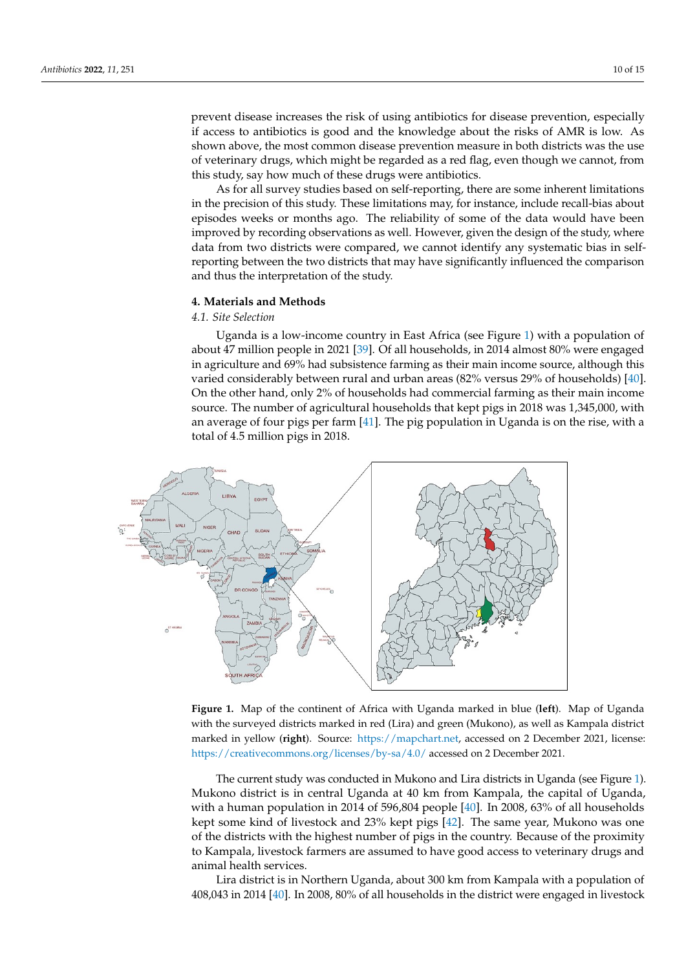prevent disease increases the risk of using antibiotics for disease prevention, especially if access to antibiotics is good and the knowledge about the risks of AMR is low. As shown above, the most common disease prevention measure in both districts was the use of veterinary drugs, which might be regarded as a red flag, even though we cannot, from this study, say how much of these drugs were antibiotics.

As for all survey studies based on self-reporting, there are some inherent limitations in the precision of this study. These limitations may, for instance, include recall-bias about episodes weeks or months ago. The reliability of some of the data would have been improved by recording observations as well. However, given the design of the study, where data from two districts were compared, we cannot identify any systematic bias in selfreporting between the two districts that may have significantly influenced the comparison and thus the interpretation of the study.

#### **4. Materials and Methods**

# *4.1. Site Selection*

Uganda is a low-income country in East Africa (see Figure [1\)](#page-9-0) with a population of about 47 million people in 2021 [\[39\]](#page-13-16). Of all households, in 2014 almost 80% were engaged in agriculture and 69% had subsistence farming as their main income source, although this varied considerably between rural and urban areas (82% versus 29% of households) [\[40\]](#page-13-17). On the other hand, only 2% of households had commercial farming as their main income source. The number of agricultural households that kept pigs in 2018 was 1,345,000, with an average of four pigs per farm [\[41\]](#page-13-18). The pig population in Uganda is on the rise, with a total of 4.5 million pigs in 2018.

<span id="page-9-0"></span>

**Figure 1.** Map of the continent of Africa with Uganda marked in blue (**left**). Map of Uganda with **Figure 1.** Map of the continent of Africa with Uganda marked in blue (**left**). Map of Uganda with the surveyed districts marked in red (Lira) and green (Mukono), as well as Kampala district marked in yellow (**right**). Source: [https://mapchart.net,](https://mapchart.net) accessed on 2 December 2021, license: [tivecommons.org/licenses/by-sa/4.0/ accessed on 2 D](https://creativecommons.org/licenses/by-sa/4.0/)ecember 2021. https://creativecommons.org/licenses/by-sa/4.0/ accessed on 2 December 2021.

The current study was conducted in Mukono and Lira districts in Uganda (see Fig[ure](#page-9-0) The current study was conducted in Mukono and Lira districts in Uganda (see Figure 1). 1). Mukono district is in central Uganda at 40 km from Kampala, the capital of Uganda, Mukono district is in central Uganda at 40 km from Kampala, the capital of Uganda, with a human population in 2014 of 596,804 people [40]. In 2008, 63% of all households with a human population in 2014 of 596,804 people [\[40\]](#page-13-17). In 2008, 63% of all households kept some kind of livestock and 23% kept pigs  $[42]$ . The same year, Mukono was one of the districts with the highest number of pigs in the country. Because of the proximity to Kampala, livestock farmers are assumed to have good access to veterinary drugs and animal health services.

Lira district is in Northern Uganda, about 300 km from Kampala with a population Lira district is in Northern Uganda, about 300 km from Kampala with a population of  $408,043$  in 2014 [ $40$ ]. In 2008,  $80\%$  of all households in the district were engaged in livestock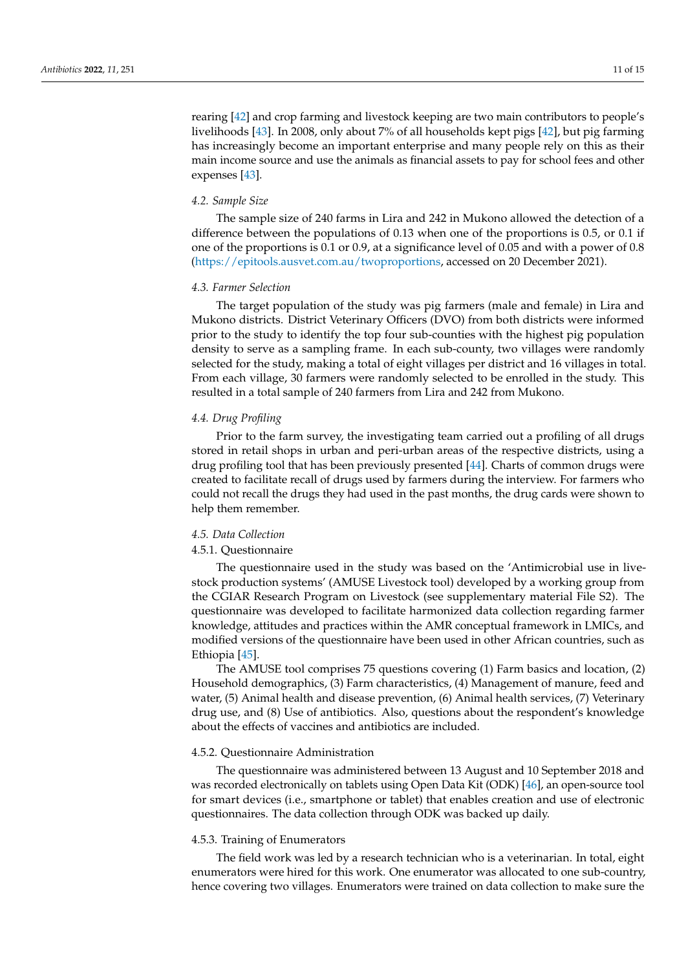rearing [\[42\]](#page-13-19) and crop farming and livestock keeping are two main contributors to people's livelihoods [\[43\]](#page-13-20). In 2008, only about 7% of all households kept pigs [\[42\]](#page-13-19), but pig farming has increasingly become an important enterprise and many people rely on this as their main income source and use the animals as financial assets to pay for school fees and other expenses [\[43\]](#page-13-20).

#### *4.2. Sample Size*

The sample size of 240 farms in Lira and 242 in Mukono allowed the detection of a difference between the populations of 0.13 when one of the proportions is 0.5, or 0.1 if one of the proportions is 0.1 or 0.9, at a significance level of 0.05 and with a power of 0.8 [\(https://epitools.ausvet.com.au/twoproportions,](https://epitools.ausvet.com.au/twoproportions) accessed on 20 December 2021).

#### *4.3. Farmer Selection*

The target population of the study was pig farmers (male and female) in Lira and Mukono districts. District Veterinary Officers (DVO) from both districts were informed prior to the study to identify the top four sub-counties with the highest pig population density to serve as a sampling frame. In each sub-county, two villages were randomly selected for the study, making a total of eight villages per district and 16 villages in total. From each village, 30 farmers were randomly selected to be enrolled in the study. This resulted in a total sample of 240 farmers from Lira and 242 from Mukono.

# *4.4. Drug Profiling*

Prior to the farm survey, the investigating team carried out a profiling of all drugs stored in retail shops in urban and peri-urban areas of the respective districts, using a drug profiling tool that has been previously presented [\[44\]](#page-14-0). Charts of common drugs were created to facilitate recall of drugs used by farmers during the interview. For farmers who could not recall the drugs they had used in the past months, the drug cards were shown to help them remember.

# *4.5. Data Collection*

#### 4.5.1. Questionnaire

The questionnaire used in the study was based on the 'Antimicrobial use in livestock production systems' (AMUSE Livestock tool) developed by a working group from the CGIAR Research Program on Livestock (see supplementary material File S2). The questionnaire was developed to facilitate harmonized data collection regarding farmer knowledge, attitudes and practices within the AMR conceptual framework in LMICs, and modified versions of the questionnaire have been used in other African countries, such as Ethiopia [\[45\]](#page-14-1).

The AMUSE tool comprises 75 questions covering (1) Farm basics and location, (2) Household demographics, (3) Farm characteristics, (4) Management of manure, feed and water, (5) Animal health and disease prevention, (6) Animal health services, (7) Veterinary drug use, and (8) Use of antibiotics. Also, questions about the respondent's knowledge about the effects of vaccines and antibiotics are included.

#### 4.5.2. Questionnaire Administration

The questionnaire was administered between 13 August and 10 September 2018 and was recorded electronically on tablets using Open Data Kit (ODK) [\[46\]](#page-14-2), an open-source tool for smart devices (i.e., smartphone or tablet) that enables creation and use of electronic questionnaires. The data collection through ODK was backed up daily.

# 4.5.3. Training of Enumerators

The field work was led by a research technician who is a veterinarian. In total, eight enumerators were hired for this work. One enumerator was allocated to one sub-country, hence covering two villages. Enumerators were trained on data collection to make sure the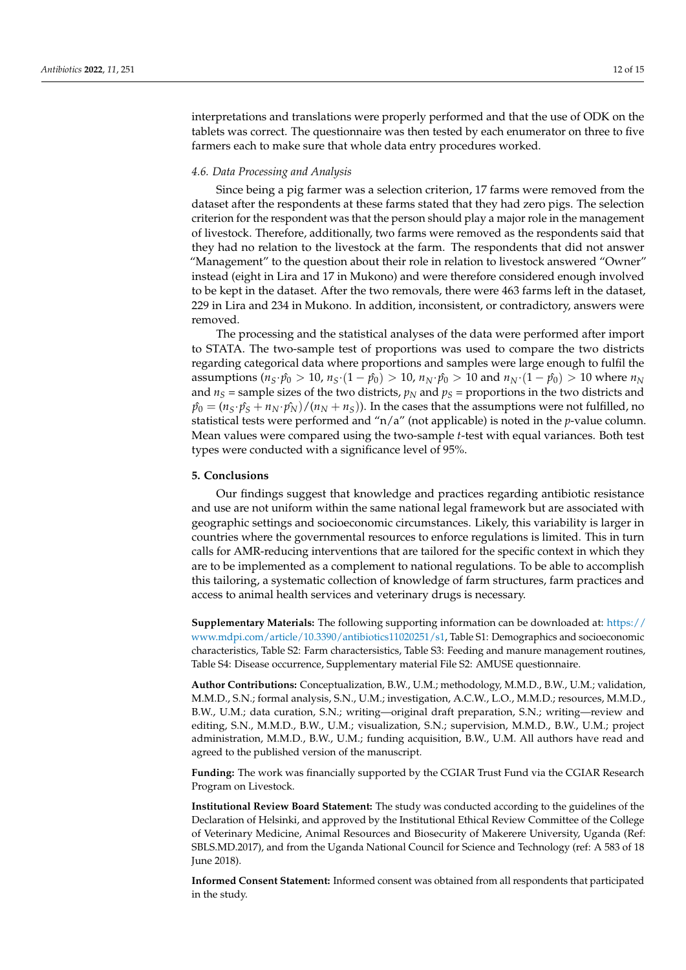interpretations and translations were properly performed and that the use of ODK on the tablets was correct. The questionnaire was then tested by each enumerator on three to five farmers each to make sure that whole data entry procedures worked.

# *4.6. Data Processing and Analysis*

Since being a pig farmer was a selection criterion, 17 farms were removed from the dataset after the respondents at these farms stated that they had zero pigs. The selection criterion for the respondent was that the person should play a major role in the management of livestock. Therefore, additionally, two farms were removed as the respondents said that they had no relation to the livestock at the farm. The respondents that did not answer "Management" to the question about their role in relation to livestock answered "Owner" instead (eight in Lira and 17 in Mukono) and were therefore considered enough involved to be kept in the dataset. After the two removals, there were 463 farms left in the dataset, 229 in Lira and 234 in Mukono. In addition, inconsistent, or contradictory, answers were removed.

The processing and the statistical analyses of the data were performed after import to STATA. The two-sample test of proportions was used to compare the two districts regarding categorical data where proportions and samples were large enough to fulfil the assumptions ( $n_S \cdot \hat{p}_0 > 10$ ,  $n_S \cdot (1 - \hat{p}_0) > 10$ ,  $n_N \cdot \hat{p}_0 > 10$  and  $n_N \cdot (1 - \hat{p}_0) > 10$  where  $n_N$ and  $n<sub>S</sub>$  = sample sizes of the two districts,  $p<sub>N</sub>$  and  $p<sub>S</sub>$  = proportions in the two districts and  $\hat{p}_0 = (n_S \cdot \hat{p}_S + n_N \cdot \hat{p}_N)/(n_N + n_S)$ ). In the cases that the assumptions were not fulfilled, no statistical tests were performed and "n/a" (not applicable) is noted in the *p*-value column. Mean values were compared using the two-sample *t*-test with equal variances. Both test types were conducted with a significance level of 95%.

# **5. Conclusions**

Our findings suggest that knowledge and practices regarding antibiotic resistance and use are not uniform within the same national legal framework but are associated with geographic settings and socioeconomic circumstances. Likely, this variability is larger in countries where the governmental resources to enforce regulations is limited. This in turn calls for AMR-reducing interventions that are tailored for the specific context in which they are to be implemented as a complement to national regulations. To be able to accomplish this tailoring, a systematic collection of knowledge of farm structures, farm practices and access to animal health services and veterinary drugs is necessary.

**Supplementary Materials:** The following supporting information can be downloaded at: [https://](https://www.mdpi.com/article/10.3390/antibiotics11020251/s1) [www.mdpi.com/article/10.3390/antibiotics11020251/s1,](https://www.mdpi.com/article/10.3390/antibiotics11020251/s1) Table S1: Demographics and socioeconomic characteristics, Table S2: Farm charactersistics, Table S3: Feeding and manure management routines, Table S4: Disease occurrence, Supplementary material File S2: AMUSE questionnaire.

**Author Contributions:** Conceptualization, B.W., U.M.; methodology, M.M.D., B.W., U.M.; validation, M.M.D., S.N.; formal analysis, S.N., U.M.; investigation, A.C.W., L.O., M.M.D.; resources, M.M.D., B.W., U.M.; data curation, S.N.; writing—original draft preparation, S.N.; writing—review and editing, S.N., M.M.D., B.W., U.M.; visualization, S.N.; supervision, M.M.D., B.W., U.M.; project administration, M.M.D., B.W., U.M.; funding acquisition, B.W., U.M. All authors have read and agreed to the published version of the manuscript.

**Funding:** The work was financially supported by the CGIAR Trust Fund via the CGIAR Research Program on Livestock.

**Institutional Review Board Statement:** The study was conducted according to the guidelines of the Declaration of Helsinki, and approved by the Institutional Ethical Review Committee of the College of Veterinary Medicine, Animal Resources and Biosecurity of Makerere University, Uganda (Ref: SBLS.MD.2017), and from the Uganda National Council for Science and Technology (ref: A 583 of 18 June 2018).

**Informed Consent Statement:** Informed consent was obtained from all respondents that participated in the study.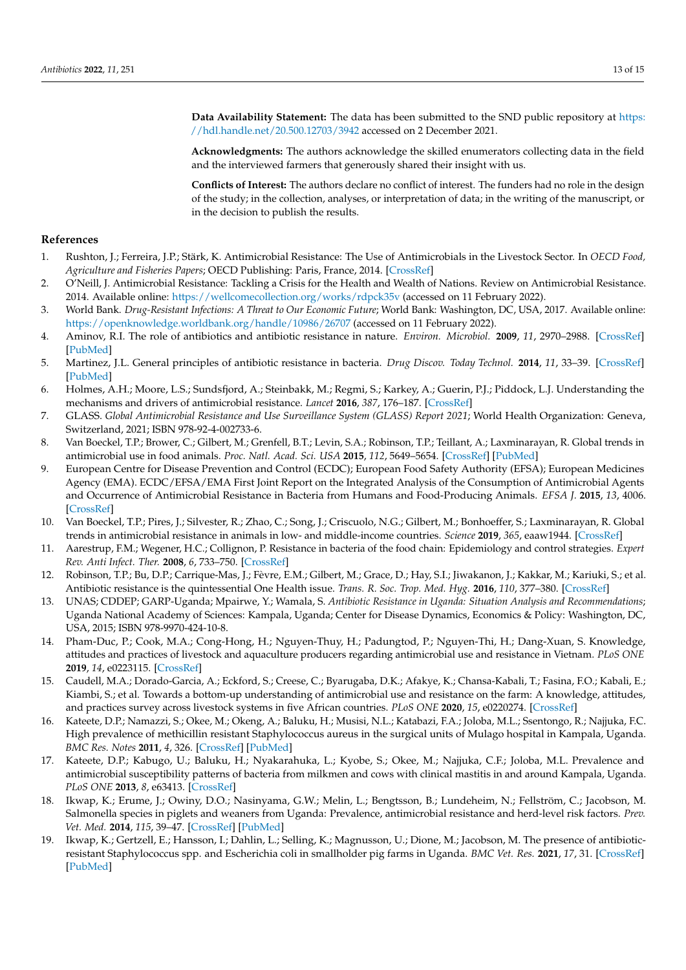**Data Availability Statement:** The data has been submitted to the SND public repository at [https:](https://hdl.handle.net/20.500.12703/3942) [//hdl.handle.net/20.500.12703/3942](https://hdl.handle.net/20.500.12703/3942) accessed on 2 December 2021.

**Acknowledgments:** The authors acknowledge the skilled enumerators collecting data in the field and the interviewed farmers that generously shared their insight with us.

**Conflicts of Interest:** The authors declare no conflict of interest. The funders had no role in the design of the study; in the collection, analyses, or interpretation of data; in the writing of the manuscript, or in the decision to publish the results.

# **References**

- <span id="page-12-0"></span>1. Rushton, J.; Ferreira, J.P.; Stärk, K. Antimicrobial Resistance: The Use of Antimicrobials in the Livestock Sector. In *OECD Food, Agriculture and Fisheries Papers*; OECD Publishing: Paris, France, 2014. [\[CrossRef\]](http://doi.org/10.1787/5jxvl3dwk3f0-en)
- <span id="page-12-1"></span>2. O'Neill, J. Antimicrobial Resistance: Tackling a Crisis for the Health and Wealth of Nations. Review on Antimicrobial Resistance. 2014. Available online: <https://wellcomecollection.org/works/rdpck35v> (accessed on 11 February 2022).
- <span id="page-12-2"></span>3. World Bank. *Drug-Resistant Infections: A Threat to Our Economic Future*; World Bank: Washington, DC, USA, 2017. Available online: <https://openknowledge.worldbank.org/handle/10986/26707> (accessed on 11 February 2022).
- <span id="page-12-3"></span>4. Aminov, R.I. The role of antibiotics and antibiotic resistance in nature. *Environ. Microbiol.* **2009**, *11*, 2970–2988. [\[CrossRef\]](http://doi.org/10.1111/j.1462-2920.2009.01972.x) [\[PubMed\]](http://www.ncbi.nlm.nih.gov/pubmed/19601960)
- 5. Martinez, J.L. General principles of antibiotic resistance in bacteria. *Drug Discov. Today Technol.* **2014**, *11*, 33–39. [\[CrossRef\]](http://doi.org/10.1016/j.ddtec.2014.02.001) [\[PubMed\]](http://www.ncbi.nlm.nih.gov/pubmed/24847651)
- <span id="page-12-4"></span>6. Holmes, A.H.; Moore, L.S.; Sundsfjord, A.; Steinbakk, M.; Regmi, S.; Karkey, A.; Guerin, P.J.; Piddock, L.J. Understanding the mechanisms and drivers of antimicrobial resistance. *Lancet* **2016**, *387*, 176–187. [\[CrossRef\]](http://doi.org/10.1016/S0140-6736(15)00473-0)
- <span id="page-12-5"></span>7. GLASS. *Global Antimicrobial Resistance and Use Surveillance System (GLASS) Report 2021*; World Health Organization: Geneva, Switzerland, 2021; ISBN 978-92-4-002733-6.
- <span id="page-12-9"></span>8. Van Boeckel, T.P.; Brower, C.; Gilbert, M.; Grenfell, B.T.; Levin, S.A.; Robinson, T.P.; Teillant, A.; Laxminarayan, R. Global trends in antimicrobial use in food animals. *Proc. Natl. Acad. Sci. USA* **2015**, *112*, 5649–5654. [\[CrossRef\]](http://doi.org/10.1073/pnas.1503141112) [\[PubMed\]](http://www.ncbi.nlm.nih.gov/pubmed/25792457)
- 9. European Centre for Disease Prevention and Control (ECDC); European Food Safety Authority (EFSA); European Medicines Agency (EMA). ECDC/EFSA/EMA First Joint Report on the Integrated Analysis of the Consumption of Antimicrobial Agents and Occurrence of Antimicrobial Resistance in Bacteria from Humans and Food-Producing Animals. *EFSA J.* **2015**, *13*, 4006. [\[CrossRef\]](http://doi.org/10.2903/j.efsa.2015.4006)
- <span id="page-12-6"></span>10. Van Boeckel, T.P.; Pires, J.; Silvester, R.; Zhao, C.; Song, J.; Criscuolo, N.G.; Gilbert, M.; Bonhoeffer, S.; Laxminarayan, R. Global trends in antimicrobial resistance in animals in low- and middle-income countries. *Science* **2019**, *365*, eaaw1944. [\[CrossRef\]](http://doi.org/10.1126/science.aaw1944)
- <span id="page-12-7"></span>11. Aarestrup, F.M.; Wegener, H.C.; Collignon, P. Resistance in bacteria of the food chain: Epidemiology and control strategies. *Expert Rev. Anti Infect. Ther.* **2008**, *6*, 733–750. [\[CrossRef\]](http://doi.org/10.1586/14787210.6.5.733)
- <span id="page-12-8"></span>12. Robinson, T.P.; Bu, D.P.; Carrique-Mas, J.; Fèvre, E.M.; Gilbert, M.; Grace, D.; Hay, S.I.; Jiwakanon, J.; Kakkar, M.; Kariuki, S.; et al. Antibiotic resistance is the quintessential One Health issue. *Trans. R. Soc. Trop. Med. Hyg.* **2016**, *110*, 377–380. [\[CrossRef\]](http://doi.org/10.1093/trstmh/trw048)
- <span id="page-12-10"></span>13. UNAS; CDDEP; GARP-Uganda; Mpairwe, Y.; Wamala, S. *Antibiotic Resistance in Uganda: Situation Analysis and Recommendations*; Uganda National Academy of Sciences: Kampala, Uganda; Center for Disease Dynamics, Economics & Policy: Washington, DC, USA, 2015; ISBN 978-9970-424-10-8.
- <span id="page-12-13"></span>14. Pham-Duc, P.; Cook, M.A.; Cong-Hong, H.; Nguyen-Thuy, H.; Padungtod, P.; Nguyen-Thi, H.; Dang-Xuan, S. Knowledge, attitudes and practices of livestock and aquaculture producers regarding antimicrobial use and resistance in Vietnam. *PLoS ONE* **2019**, *14*, e0223115. [\[CrossRef\]](http://doi.org/10.1371/journal.pone.0223115)
- <span id="page-12-11"></span>15. Caudell, M.A.; Dorado-Garcia, A.; Eckford, S.; Creese, C.; Byarugaba, D.K.; Afakye, K.; Chansa-Kabali, T.; Fasina, F.O.; Kabali, E.; Kiambi, S.; et al. Towards a bottom-up understanding of antimicrobial use and resistance on the farm: A knowledge, attitudes, and practices survey across livestock systems in five African countries. *PLoS ONE* **2020**, *15*, e0220274. [\[CrossRef\]](http://doi.org/10.1371/journal.pone.0220274)
- <span id="page-12-12"></span>16. Kateete, D.P.; Namazzi, S.; Okee, M.; Okeng, A.; Baluku, H.; Musisi, N.L.; Katabazi, F.A.; Joloba, M.L.; Ssentongo, R.; Najjuka, F.C. High prevalence of methicillin resistant Staphylococcus aureus in the surgical units of Mulago hospital in Kampala, Uganda. *BMC Res. Notes* **2011**, *4*, 326. [\[CrossRef\]](http://doi.org/10.1186/1756-0500-4-326) [\[PubMed\]](http://www.ncbi.nlm.nih.gov/pubmed/21899769)
- 17. Kateete, D.P.; Kabugo, U.; Baluku, H.; Nyakarahuka, L.; Kyobe, S.; Okee, M.; Najjuka, C.F.; Joloba, M.L. Prevalence and antimicrobial susceptibility patterns of bacteria from milkmen and cows with clinical mastitis in and around Kampala, Uganda. *PLoS ONE* **2013**, *8*, e63413. [\[CrossRef\]](http://doi.org/10.1371/journal.pone.0063413)
- 18. Ikwap, K.; Erume, J.; Owiny, D.O.; Nasinyama, G.W.; Melin, L.; Bengtsson, B.; Lundeheim, N.; Fellström, C.; Jacobson, M. Salmonella species in piglets and weaners from Uganda: Prevalence, antimicrobial resistance and herd-level risk factors. *Prev. Vet. Med.* **2014**, *115*, 39–47. [\[CrossRef\]](http://doi.org/10.1016/j.prevetmed.2014.03.009) [\[PubMed\]](http://www.ncbi.nlm.nih.gov/pubmed/24694586)
- 19. Ikwap, K.; Gertzell, E.; Hansson, I.; Dahlin, L.; Selling, K.; Magnusson, U.; Dione, M.; Jacobson, M. The presence of antibioticresistant Staphylococcus spp. and Escherichia coli in smallholder pig farms in Uganda. *BMC Vet. Res.* **2021**, *17*, 31. [\[CrossRef\]](http://doi.org/10.1186/s12917-020-02727-3) [\[PubMed\]](http://www.ncbi.nlm.nih.gov/pubmed/33461527)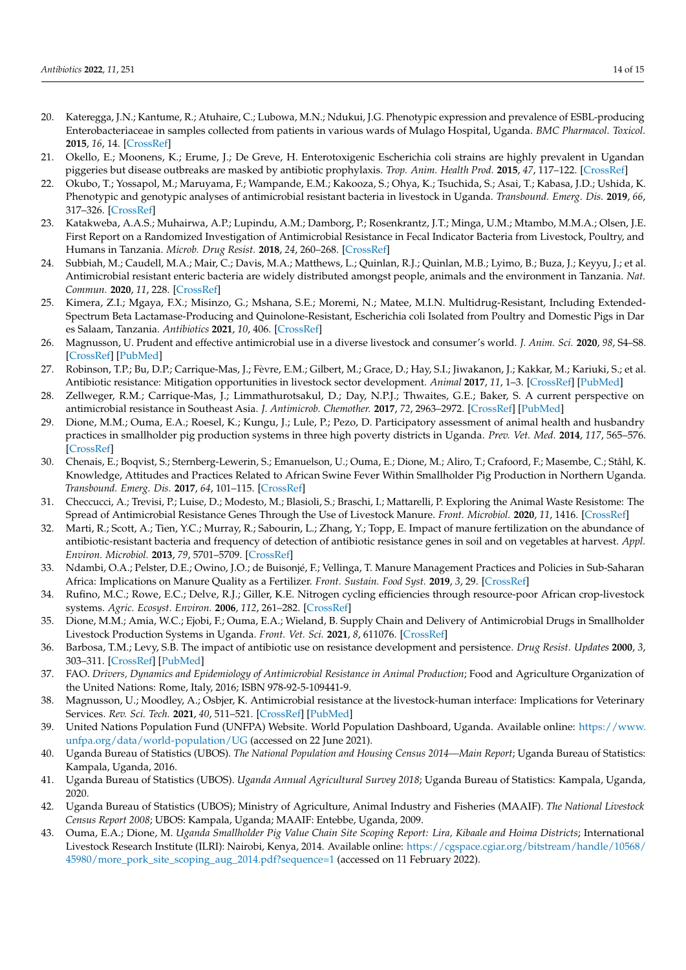- 20. Kateregga, J.N.; Kantume, R.; Atuhaire, C.; Lubowa, M.N.; Ndukui, J.G. Phenotypic expression and prevalence of ESBL-producing Enterobacteriaceae in samples collected from patients in various wards of Mulago Hospital, Uganda. *BMC Pharmacol. Toxicol.* **2015**, *16*, 14. [\[CrossRef\]](http://doi.org/10.1186/s40360-015-0013-1)
- 21. Okello, E.; Moonens, K.; Erume, J.; De Greve, H. Enterotoxigenic Escherichia coli strains are highly prevalent in Ugandan piggeries but disease outbreaks are masked by antibiotic prophylaxis. *Trop. Anim. Health Prod.* **2015**, *47*, 117–122. [\[CrossRef\]](http://doi.org/10.1007/s11250-014-0694-2)
- <span id="page-13-0"></span>22. Okubo, T.; Yossapol, M.; Maruyama, F.; Wampande, E.M.; Kakooza, S.; Ohya, K.; Tsuchida, S.; Asai, T.; Kabasa, J.D.; Ushida, K. Phenotypic and genotypic analyses of antimicrobial resistant bacteria in livestock in Uganda. *Transbound. Emerg. Dis.* **2019**, *66*, 317–326. [\[CrossRef\]](http://doi.org/10.1111/tbed.13024)
- <span id="page-13-1"></span>23. Katakweba, A.A.S.; Muhairwa, A.P.; Lupindu, A.M.; Damborg, P.; Rosenkrantz, J.T.; Minga, U.M.; Mtambo, M.M.A.; Olsen, J.E. First Report on a Randomized Investigation of Antimicrobial Resistance in Fecal Indicator Bacteria from Livestock, Poultry, and Humans in Tanzania. *Microb. Drug Resist.* **2018**, *24*, 260–268. [\[CrossRef\]](http://doi.org/10.1089/mdr.2016.0297)
- 24. Subbiah, M.; Caudell, M.A.; Mair, C.; Davis, M.A.; Matthews, L.; Quinlan, R.J.; Quinlan, M.B.; Lyimo, B.; Buza, J.; Keyyu, J.; et al. Antimicrobial resistant enteric bacteria are widely distributed amongst people, animals and the environment in Tanzania. *Nat. Commun.* **2020**, *11*, 228. [\[CrossRef\]](http://doi.org/10.1038/s41467-019-13995-5)
- <span id="page-13-2"></span>25. Kimera, Z.I.; Mgaya, F.X.; Misinzo, G.; Mshana, S.E.; Moremi, N.; Matee, M.I.N. Multidrug-Resistant, Including Extended-Spectrum Beta Lactamase-Producing and Quinolone-Resistant, Escherichia coli Isolated from Poultry and Domestic Pigs in Dar es Salaam, Tanzania. *Antibiotics* **2021**, *10*, 406. [\[CrossRef\]](http://doi.org/10.3390/antibiotics10040406)
- <span id="page-13-3"></span>26. Magnusson, U. Prudent and effective antimicrobial use in a diverse livestock and consumer's world. *J. Anim. Sci.* **2020**, *98*, S4–S8. [\[CrossRef\]](http://doi.org/10.1093/jas/skaa148) [\[PubMed\]](http://www.ncbi.nlm.nih.gov/pubmed/32810240)
- <span id="page-13-4"></span>27. Robinson, T.P.; Bu, D.P.; Carrique-Mas, J.; Fèvre, E.M.; Gilbert, M.; Grace, D.; Hay, S.I.; Jiwakanon, J.; Kakkar, M.; Kariuki, S.; et al. Antibiotic resistance: Mitigation opportunities in livestock sector development. *Animal* **2017**, *11*, 1–3. [\[CrossRef\]](http://doi.org/10.1017/S1751731116001828) [\[PubMed\]](http://www.ncbi.nlm.nih.gov/pubmed/27549404)
- <span id="page-13-5"></span>28. Zellweger, R.M.; Carrique-Mas, J.; Limmathurotsakul, D.; Day, N.P.J.; Thwaites, G.E.; Baker, S. A current perspective on antimicrobial resistance in Southeast Asia. *J. Antimicrob. Chemother.* **2017**, *72*, 2963–2972. [\[CrossRef\]](http://doi.org/10.1093/jac/dkx260) [\[PubMed\]](http://www.ncbi.nlm.nih.gov/pubmed/28961709)
- <span id="page-13-6"></span>29. Dione, M.M.; Ouma, E.A.; Roesel, K.; Kungu, J.; Lule, P.; Pezo, D. Participatory assessment of animal health and husbandry practices in smallholder pig production systems in three high poverty districts in Uganda. *Prev. Vet. Med.* **2014**, *117*, 565–576. [\[CrossRef\]](http://doi.org/10.1016/j.prevetmed.2014.10.012)
- <span id="page-13-7"></span>30. Chenais, E.; Boqvist, S.; Sternberg-Lewerin, S.; Emanuelson, U.; Ouma, E.; Dione, M.; Aliro, T.; Crafoord, F.; Masembe, C.; Ståhl, K. Knowledge, Attitudes and Practices Related to African Swine Fever Within Smallholder Pig Production in Northern Uganda. *Transbound. Emerg. Dis.* **2017**, *64*, 101–115. [\[CrossRef\]](http://doi.org/10.1111/tbed.12347)
- <span id="page-13-8"></span>31. Checcucci, A.; Trevisi, P.; Luise, D.; Modesto, M.; Blasioli, S.; Braschi, I.; Mattarelli, P. Exploring the Animal Waste Resistome: The Spread of Antimicrobial Resistance Genes Through the Use of Livestock Manure. *Front. Microbiol.* **2020**, *11*, 1416. [\[CrossRef\]](http://doi.org/10.3389/fmicb.2020.01416)
- <span id="page-13-9"></span>32. Marti, R.; Scott, A.; Tien, Y.C.; Murray, R.; Sabourin, L.; Zhang, Y.; Topp, E. Impact of manure fertilization on the abundance of antibiotic-resistant bacteria and frequency of detection of antibiotic resistance genes in soil and on vegetables at harvest. *Appl. Environ. Microbiol.* **2013**, *79*, 5701–5709. [\[CrossRef\]](http://doi.org/10.1128/AEM.01682-13)
- <span id="page-13-10"></span>33. Ndambi, O.A.; Pelster, D.E.; Owino, J.O.; de Buisonjé, F.; Vellinga, T. Manure Management Practices and Policies in Sub-Saharan Africa: Implications on Manure Quality as a Fertilizer. *Front. Sustain. Food Syst.* **2019**, *3*, 29. [\[CrossRef\]](http://doi.org/10.3389/fsufs.2019.00029)
- <span id="page-13-11"></span>34. Rufino, M.C.; Rowe, E.C.; Delve, R.J.; Giller, K.E. Nitrogen cycling efficiencies through resource-poor African crop-livestock systems. *Agric. Ecosyst. Environ.* **2006**, *112*, 261–282. [\[CrossRef\]](http://doi.org/10.1016/j.agee.2005.08.028)
- <span id="page-13-12"></span>35. Dione, M.M.; Amia, W.C.; Ejobi, F.; Ouma, E.A.; Wieland, B. Supply Chain and Delivery of Antimicrobial Drugs in Smallholder Livestock Production Systems in Uganda. *Front. Vet. Sci.* **2021**, *8*, 611076. [\[CrossRef\]](http://doi.org/10.3389/fvets.2021.611076)
- <span id="page-13-13"></span>36. Barbosa, T.M.; Levy, S.B. The impact of antibiotic use on resistance development and persistence. *Drug Resist. Updates* **2000**, *3*, 303–311. [\[CrossRef\]](http://doi.org/10.1054/drup.2000.0167) [\[PubMed\]](http://www.ncbi.nlm.nih.gov/pubmed/11498398)
- <span id="page-13-14"></span>37. FAO. *Drivers, Dynamics and Epidemiology of Antimicrobial Resistance in Animal Production*; Food and Agriculture Organization of the United Nations: Rome, Italy, 2016; ISBN 978-92-5-109441-9.
- <span id="page-13-15"></span>38. Magnusson, U.; Moodley, A.; Osbjer, K. Antimicrobial resistance at the livestock-human interface: Implications for Veterinary Services. *Rev. Sci. Tech.* **2021**, *40*, 511–521. [\[CrossRef\]](http://doi.org/10.20506/rst.40.2.3241) [\[PubMed\]](http://www.ncbi.nlm.nih.gov/pubmed/34542097)
- <span id="page-13-16"></span>39. United Nations Population Fund (UNFPA) Website. World Population Dashboard, Uganda. Available online: [https://www.](https://www.unfpa.org/data/world-population/UG) [unfpa.org/data/world-population/UG](https://www.unfpa.org/data/world-population/UG) (accessed on 22 June 2021).
- <span id="page-13-17"></span>40. Uganda Bureau of Statistics (UBOS). *The National Population and Housing Census 2014—Main Report*; Uganda Bureau of Statistics: Kampala, Uganda, 2016.
- <span id="page-13-18"></span>41. Uganda Bureau of Statistics (UBOS). *Uganda Annual Agricultural Survey 2018*; Uganda Bureau of Statistics: Kampala, Uganda, 2020.
- <span id="page-13-19"></span>42. Uganda Bureau of Statistics (UBOS); Ministry of Agriculture, Animal Industry and Fisheries (MAAIF). *The National Livestock Census Report 2008*; UBOS: Kampala, Uganda; MAAIF: Entebbe, Uganda, 2009.
- <span id="page-13-20"></span>43. Ouma, E.A.; Dione, M. *Uganda Smallholder Pig Value Chain Site Scoping Report: Lira, Kibaale and Hoima Districts*; International Livestock Research Institute (ILRI): Nairobi, Kenya, 2014. Available online: [https://cgspace.cgiar.org/bitstream/handle/10568/](https://cgspace.cgiar.org/bitstream/handle/10568/45980/more_pork_site_scoping_aug_2014.pdf?sequence=1) [45980/more\\_pork\\_site\\_scoping\\_aug\\_2014.pdf?sequence=1](https://cgspace.cgiar.org/bitstream/handle/10568/45980/more_pork_site_scoping_aug_2014.pdf?sequence=1) (accessed on 11 February 2022).